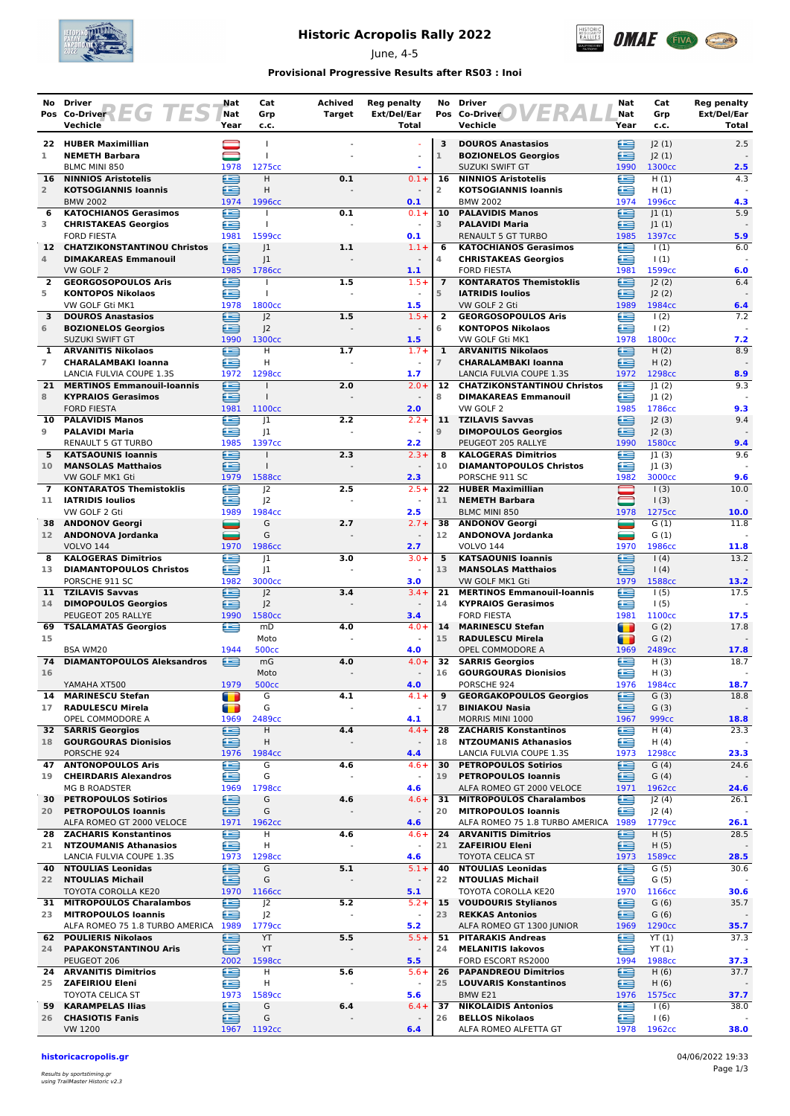

## **Historic Acropolis Rally 2022**

June, 4-5



### **Provisional Progressive Results after RS03 : Inoi**

| No.            | <b>Driver</b><br>Pos Co-Driver $\left\{\begin{array}{c c} \hline \end{array}\right\}$ | Nat<br>Nat                       | Cat<br>Grp              | Achived<br><b>Target</b> | <b>Reg penalty</b><br>Ext/Del/Ear   | No                  | <b>Driver</b><br>ERA<br>Pos Co-Driver                         | Nat<br>Nat             | Cat<br>Grp                  | <b>Reg penalty</b><br>Ext/Del/Ear |
|----------------|---------------------------------------------------------------------------------------|----------------------------------|-------------------------|--------------------------|-------------------------------------|---------------------|---------------------------------------------------------------|------------------------|-----------------------------|-----------------------------------|
|                | Vechicle                                                                              | Year                             | c.c.                    |                          | Total                               |                     | Vechicle                                                      | Year                   | c.c.                        | Total                             |
|                | 22 HUBER Maximillian                                                                  |                                  | -1                      |                          |                                     | 3                   | <b>DOUROS Anastasios</b>                                      | £                      | J2(1)                       | 2.5                               |
| 1              | <b>NEMETH Barbara</b>                                                                 |                                  | $\mathbf{I}$            |                          |                                     | $\mathbbm{1}$       | <b>BOZIONELOS Georgios</b>                                    | ⋐                      | 2(1)                        |                                   |
| 16             | BLMC MINI 850<br><b>NINNIOS Aristotelis</b>                                           | 1978<br>£                        | 1275cc<br>H.            | 0.1                      | $0.1 +$                             | 16                  | <b>SUZUKI SWIFT GT</b><br><b>NINNIOS Aristotelis</b>          | 1990<br>£              | 1300 <sub>cc</sub><br>H(1)  | 2.5<br>4.3                        |
| $\overline{2}$ | <b>KOTSOGIANNIS Ioannis</b>                                                           | œ                                | H                       |                          |                                     | $\overline{2}$      | <b>KOTSOGIANNIS Ioannis</b>                                   | ∈                      | H(1)                        |                                   |
|                | <b>BMW 2002</b>                                                                       | 1974                             | 1996cc                  |                          | 0.1                                 |                     | <b>BMW 2002</b>                                               | 1974                   | 1996cc                      | 4.3                               |
| 6              | <b>KATOCHIANOS Gerasimos</b>                                                          | ∈                                |                         | 0.1                      | $0.1 +$<br>$\sim$                   | 10<br>3             | <b>PALAVIDIS Manos</b>                                        | ∈                      | 1(1)                        | 5.9                               |
| 3              | <b>CHRISTAKEAS Georgios</b><br><b>FORD FIESTA</b>                                     | Æ<br>1981                        | 1599cc                  |                          | 0.1                                 |                     | <b>PALAVIDI Maria</b><br><b>RENAULT 5 GT TURBO</b>            | £<br>1985              | 1(1) <br>1397cc             | 5.9                               |
|                | 12 CHATZIKONSTANTINOU Christos                                                        | €                                | 1                       | 1.1                      | $1.1 +$                             | 6                   | <b>KATOCHIANOS Gerasimos</b>                                  | œ                      | $\vert$ (1)                 | 6.0                               |
| 4              | <b>DIMAKAREAS Emmanouil</b>                                                           | œ                                | 1                       |                          | $\sim$                              | 4                   | <b>CHRISTAKEAS Georgios</b>                                   | œ                      | $\vert$ (1)                 |                                   |
| $\mathbf{2}$   | VW GOLF 2<br><b>GEORGOSOPOULOS Aris</b>                                               | 1985<br>£                        | 1786cc                  | 1.5                      | 1.1<br>$1.5+$                       | $\overline{7}$      | <b>FORD FIESTA</b><br><b>KONTARATOS Themistoklis</b>          | 1981<br>£              | 1599cc<br> 2(2)             | 6.0<br>6.4                        |
| 5              | <b>KONTOPOS Nikolaos</b>                                                              | œ                                | $\overline{1}$          |                          | $\sim$                              | 5                   | <b>IATRIDIS Ioulios</b>                                       | ≘                      | 2(2)                        |                                   |
|                | VW GOLF Gti MK1                                                                       | 1978                             | 1800cc                  |                          | 1.5                                 |                     | VW GOLF 2 Gti                                                 | 1989                   | 1984cc                      | 6.4                               |
| 3<br>6         | <b>DOUROS Anastasios</b><br><b>BOZIONELOS Georgios</b>                                | e<br>œ                           | 2<br>J <sub>2</sub>     | 1.5                      | $1.5+$<br>$\sim$                    | $\overline{2}$<br>6 | <b>GEORGOSOPOULOS Aris</b><br><b>KONTOPOS Nikolaos</b>        | œ<br>œ                 | 1(2)<br>$\frac{1(2)}{2}$    | 7.2                               |
|                | <b>SUZUKI SWIFT GT</b>                                                                | 1990                             | 1300 <sub>cc</sub>      |                          | 1.5                                 |                     | VW GOLF Gti MK1                                               | 1978                   | 1800 <sub>cc</sub>          | 7.2                               |
| 1              | <b>ARVANITIS Nikolaos</b>                                                             | €                                | $\overline{H}$          | 1.7                      | $1.7 +$                             | 1                   | <b>ARVANITIS Nikolaos</b>                                     | €                      | H(2)                        | 8.9                               |
| $\overline{7}$ | <b>CHARALAMBAKI Ioanna</b><br>LANCIA FULVIA COUPE 1.3S                                | æ<br>1972                        | H<br>1298cc             |                          | 1.7                                 | $\overline{7}$      | <b>CHARALAMBAKI Ioanna</b><br>LANCIA FULVIA COUPE 1.3S        | £<br>1972              | H(2)<br>1298cc              | 8.9                               |
| 21             | <b>MERTINOS Emmanouil-Ioannis</b>                                                     | £                                | $\mathbf{I}$            | 2.0                      | $2.0 +$                             | 12                  | <b>CHATZIKONSTANTINOU Christos</b>                            | æ                      | 1(2)                        | 9.3                               |
| 8              | <b>KYPRAIOS Gerasimos</b>                                                             | ≘                                | $\overline{1}$          |                          |                                     | 8                   | <b>DIMAKAREAS Emmanouil</b>                                   | œ                      | 1(2)                        |                                   |
|                | <b>FORD FIESTA</b>                                                                    | 1981                             | 1100 <sub>cc</sub>      |                          | 2.0                                 | 11                  | VW GOLF 2<br><b>TZILAVIS Savvas</b>                           | 1985<br>≘              | 1786cc                      | 9.3                               |
| 10<br>9        | <b>PALAVIDIS Manos</b><br><b>PALAVIDI Maria</b>                                       | œ<br>£                           | 1<br> 1                 | 2.2                      | $2.2 +$<br>$\omega$                 | 9                   | <b>DIMOPOULOS Georgios</b>                                    | ≘                      | J2(3)<br>J2(3)              | 9.4                               |
|                | RENAULT 5 GT TURBO                                                                    | 1985                             | 1397cc                  |                          | 2.2                                 |                     | PEUGEOT 205 RALLYE                                            | 1990                   | 1580cc                      | 9.4                               |
| 5              | <b>KATSAOUNIS Ioannis</b>                                                             | G                                |                         | 2.3                      | $2.3 +$                             | 8                   | <b>KALOGERAS Dimitrios</b>                                    | œ                      | 1(3)                        | 9.6                               |
| 10             | <b>MANSOLAS Matthaios</b><br>VW GOLF MK1 Gti                                          | æ<br>1979                        | $\mathbf{I}$<br>1588cc  |                          | $\sim$<br>2.3                       | 10                  | <b>DIAMANTOPOULOS Christos</b><br>PORSCHE 911 SC              | æ<br>1982              | 1(3) <br>3000cc             | 9.6                               |
| $\overline{7}$ | <b>KONTARATOS Themistoklis</b>                                                        | £                                | J2                      | 2.5                      | $2.5+$                              |                     | 22 HUBER Maximillian                                          |                        | 1(3)                        | 10.0                              |
| 11             | <b>IATRIDIS Ioulios</b>                                                               | æ                                | J <sub>2</sub>          |                          |                                     | 11                  | <b>NEMETH Barbara</b>                                         |                        | 1(3)                        |                                   |
| 38             | VW GOLF 2 Gti<br><b>ANDONOV Georgi</b>                                                | 1989<br>$\overline{\phantom{0}}$ | 1984cc<br>G             | 2.7                      | 2.5<br>$2.7 +$                      | 38                  | <b>BLMC MINI 850</b><br><b>ANDONOV Georgi</b>                 | 1978<br>=              | 1275cc<br>G(1)              | 10.0<br>11.8                      |
| 12             | ANDONOVA Jordanka                                                                     | ▄                                | G                       |                          | $\blacksquare$                      | 12                  | ANDONOVA Jordanka                                             | ▄                      | G(1)                        |                                   |
|                | <b>VOLVO 144</b>                                                                      | 1970                             | 1986cc                  |                          | 2.7                                 |                     | <b>VOLVO 144</b>                                              | 1970                   | 1986cc                      | 11.8                              |
| 8              | <b>KALOGERAS Dimitrios</b>                                                            | ≘<br>æ                           | 1                       | 3.0                      | $3.0+$<br>$\sim$                    | 5<br>13             | <b>KATSAOUNIS Ioannis</b>                                     | e<br>£                 | (4)                         | 13.2                              |
| 13             | <b>DIAMANTOPOULOS Christos</b><br>PORSCHE 911 SC                                      | 1982                             | 1<br>3000cc             |                          | 3.0                                 |                     | <b>MANSOLAS Matthaios</b><br>VW GOLF MK1 Gti                  | 1979                   | (4)<br>1588cc               | 13.2                              |
|                | 11 TZILAVIS Savvas                                                                    | ≘                                | J <sub>2</sub>          | 3.4                      | $3.4 +$                             |                     | 21 MERTINOS Emmanouil-Ioannis                                 | ≘                      | 1(5)                        | 17.5                              |
| 14             | <b>DIMOPOULOS Georgios</b>                                                            | £                                | J <sup>2</sup>          |                          |                                     | 14                  | <b>KYPRAIOS Gerasimos</b>                                     | ≘                      | 1(5)                        |                                   |
| 69             | PEUGEOT 205 RALLYE<br><b>TSALAMATAS Georgios</b>                                      | 1990<br>Æ                        | 1580cc<br>mD            | 4.0                      | 3.4<br>$4.0 +$                      | 14                  | <b>FORD FIESTA</b><br><b>MARINESCU Stefan</b>                 | 1981<br>$\blacksquare$ | 1100cc<br>G(2)              | 17.5<br>17.8                      |
| 15             |                                                                                       |                                  | Moto                    |                          | $\omega$                            | 15                  | <b>RADULESCU Mirela</b>                                       | $\blacksquare$         | G(2)                        |                                   |
|                | <b>BSA WM20</b>                                                                       | 1944                             | <b>500cc</b>            |                          | 4.0                                 |                     | OPEL COMMODORE A                                              | 1969                   | 2489cc                      | 17.8                              |
| 74<br>16       | <b>DIAMANTOPOULOS Aleksandros</b>                                                     | ≘                                | mG<br>Moto              | 4.0                      | $4.0 +$                             | 32<br>16            | <b>SARRIS Georgios</b><br><b>GOURGOURAS Dionisios</b>         | ≘<br>œ                 | H(3)<br>H(3)                | 18.7                              |
|                | YAMAHA XT500                                                                          | 1979                             | <b>500cc</b>            |                          | 4.0                                 |                     | PORSCHE 924                                                   | 1976                   | 1984cc                      | 18.7                              |
| 14             | <b>MARINESCU Stefan</b>                                                               | $\blacksquare$                   | G                       | 4.1                      | $4.1 +$                             | 9                   | <b>GEORGAKOPOULOS Georgios</b>                                | ∈                      | G(3)                        | 18.8                              |
| 17             | <b>RADULESCU Mirela</b><br>OPEL COMMODORE A                                           | $\blacksquare$<br>1969           | G<br>2489cc             |                          | $\omega$<br>4.1                     | 17                  | <b>BINIAKOU Nasia</b><br>MORRIS MINI 1000                     | ≘<br>1967              | G(3)<br>999 <sub>cc</sub>   | 18.8                              |
| 32             | <b>SARRIS Georgios</b>                                                                | e                                | H                       | 4.4                      | $4.4 +$                             | 28                  | <b>ZACHARIS Konstantinos</b>                                  | œ                      | H(4)                        | 23.3                              |
| 18             | <b>GOURGOURAS Dionisios</b>                                                           | ఆ                                | н                       | $\overline{\phantom{a}}$ | $\overline{\phantom{a}}$            | 18                  | <b>NTZOUMANIS Athanasios</b>                                  | ⋐                      | H(4)                        |                                   |
| 47             | PORSCHE 924<br><b>ANTONOPOULOS Aris</b>                                               | 1976<br>€                        | 1984cc<br>G             | 4.6                      | 4.4<br>$4.6+$                       | 30                  | LANCIA FULVIA COUPE 1.3S<br><b>PETROPOULOS Sotirios</b>       | 1973<br>≘              | 1298cc<br>G(4)              | 23.3<br>24.6                      |
| 19             | <b>CHEIRDARIS Alexandros</b>                                                          | œ                                | G                       |                          | $\sim$                              | 19                  | <b>PETROPOULOS Ioannis</b>                                    | ⋐                      | G(4)                        |                                   |
|                | <b>MG B ROADSTER</b>                                                                  | 1969                             | 1798cc                  |                          | 4.6                                 |                     | ALFA ROMEO GT 2000 VELOCE                                     | 1971                   | 1962cc                      | 24.6                              |
| 30<br>20       | <b>PETROPOULOS Sotirios</b>                                                           | ≘                                | G<br>G                  | 4.6                      | $4.6 +$                             | 20                  | 31 MITROPOULOS Charalambos                                    | £                      | J2(4)                       | 26.1                              |
|                | <b>PETROPOULOS Ioannis</b><br>ALFA ROMEO GT 2000 VELOCE                               | £<br>1971                        | 1962 <sub>cc</sub>      |                          | $\overline{\phantom{a}}$<br>4.6     |                     | <b>MITROPOULOS Ioannis</b><br>ALFA ROMEO 75 1.8 TURBO AMERICA | £<br>1989              | J2(4)<br>1779 <sub>cc</sub> | 26.1                              |
| 28.            | <b>ZACHARIS Konstantinos</b>                                                          | €                                | н                       | 4.6                      | $4.6 +$                             | 24                  | <b>ARVANITIS Dimitrios</b>                                    | ∈                      | H(5)                        | 28.5                              |
| 21             | <b>NTZOUMANIS Athanasios</b>                                                          | ≘                                | Н                       |                          | $\Box$                              | 21                  | <b>ZAFEIRIOU Eleni</b>                                        | ≘                      | H(5)                        |                                   |
|                | LANCIA FULVIA COUPE 1.3S<br><b>40 NTOULIAS Leonidas</b>                               | 1973<br>e                        | 1298cc<br>G             | 5.1                      | 4.6<br>$5.1+$                       | 40                  | <b>TOYOTA CELICA ST</b><br><b>NTOULIAS Leonidas</b>           | 1973<br>œ              | 1589cc<br>G(5)              | 28.5<br>30.6                      |
| 22             | <b>NTOULIAS Michail</b>                                                               | ≘                                | G                       | $\blacksquare$           |                                     | 22                  | <b>NTOULIAS Michail</b>                                       | œ                      | G(5)                        |                                   |
|                | TOYOTA COROLLA KE20                                                                   | 1970                             | 1166cc                  |                          | 5.1                                 |                     | TOYOTA COROLLA KE20                                           | 1970                   | 1166cc                      | 30.6                              |
| 31.<br>23      | <b>MITROPOULOS Charalambos</b><br><b>MITROPOULOS Ioannis</b>                          | £<br>£                           | J <sup>2</sup><br> 2    | 5.2<br>$\blacksquare$    | $5.2 +$<br>$\overline{\phantom{a}}$ | 15<br>23            | <b>VOUDOURIS Stylianos</b><br><b>REKKAS Antonios</b>          | ≘<br>∈                 | G(6)<br>G(6)                | 35.7                              |
|                | ALFA ROMEO 75 1.8 TURBO AMERICA                                                       | 1989                             | 1779 <sub>cc</sub>      |                          | 5.2                                 |                     | ALFA ROMEO GT 1300 JUNIOR                                     | 1969                   | 1290 <sub>cc</sub>          | 35.7                              |
|                | 62 POULIERIS Nikolaos                                                                 | G                                | YT                      | 5.5                      | $5.5+$                              | 51                  | <b>PITARAKIS Andreas</b>                                      | G                      | YT(1)                       | 37.3                              |
|                | 24 PAPAKONSTANTINOU Aris<br>PEUGEOT 206                                               | ఆ<br>2002                        | YT<br>1598cc            |                          | $\blacksquare$<br>5.5               | 24                  | <b>MELANITIS lakovos</b><br>FORD ESCORT RS2000                | ⋐<br>1994              | YT(1)<br>1988cc             | 37.3                              |
|                | <b>24 ARVANITIS Dimitrios</b>                                                         | €                                | н                       | 5.6                      | $5.6+$                              | 26                  | <b>PAPANDREOU Dimitrios</b>                                   | ⊟                      | H(6)                        | 37.7                              |
| 25             | <b>ZAFEIRIOU Eleni</b>                                                                | ≘                                | Н                       |                          | $\sim$                              | 25                  | <b>LOUVARIS Konstantinos</b>                                  | ⊜                      | H (6)                       |                                   |
| 59             | TOYOTA CELICA ST<br><b>KARAMPELAS Ilias</b>                                           | 1973<br>≘                        | 1589 <sub>cc</sub><br>G | 6.4                      | 5.6<br>$6.4 +$                      | 37                  | BMW E21<br><b>NIKOLAIDIS Antonios</b>                         | 1976<br>€              | 1575cc<br>1(6)              | 37.7<br>38.0                      |
| 26             | <b>CHASIOTIS Fanis</b>                                                                | œ                                | G                       |                          |                                     | 26                  | <b>BELLOS Nikolaos</b>                                        | £                      | 1(6)                        |                                   |
|                | <b>VW 1200</b>                                                                        | 1967                             | 1192cc                  |                          | 6.4                                 |                     | ALFA ROMEO ALFETTA GT                                         | 1978                   | 1962cc                      | 38.0                              |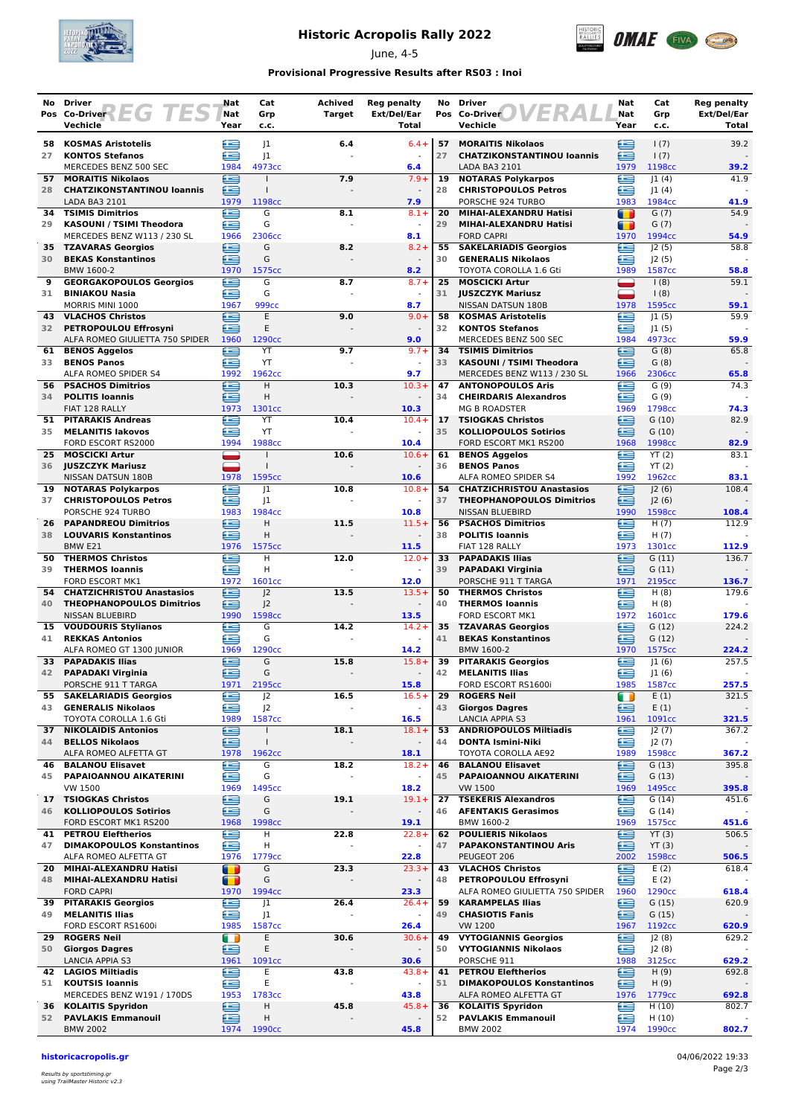

## **Historic Acropolis Rally 2022**

June, 4-5



### **Provisional Progressive Results after RS03 : Inoi**

| No       | Driver<br>Pos Co-Driver LG TES                            | Nat<br>Nat             | Cat<br>Grp                   | Achived<br><b>Target</b> | <b>Reg penalty</b><br>Ext/Del/Ear | No       | <b>Driver</b><br>13 R A<br>Pos Co-Driver                   | Nat<br>Nat          | Cat<br>Grp         | <b>Reg penalty</b><br>Ext/Del/Ear |
|----------|-----------------------------------------------------------|------------------------|------------------------------|--------------------------|-----------------------------------|----------|------------------------------------------------------------|---------------------|--------------------|-----------------------------------|
|          | Vechicle                                                  | Year                   | c.c.                         |                          | Total                             |          | Vechicle                                                   | Year                | c.c.               | Total                             |
| 58       | <b>KOSMAS Aristotelis</b>                                 | 生                      | 1                            | 6.4                      | $6.4 +$                           | 57       | <b>MORAITIS Nikolaos</b>                                   | ≘                   | 1(7)               | 39.2                              |
| 27       | <b>KONTOS Stefanos</b><br>MERCEDES BENZ 500 SEC           | £<br>1984              | 1<br>4973cc                  |                          | 6.4                               | 27       | <b>CHATZIKONSTANTINOU loannis</b><br>LADA BA3 2101         | œ<br>1979           | 1(7)<br>1198cc     | 39.2                              |
| 57       | <b>MORAITIS Nikolaos</b>                                  | e                      |                              | 7.9                      | $7.9+$                            | 19       | <b>NOTARAS Polykarpos</b>                                  | £                   | 1(4)               | 41.9                              |
| 28       | <b>CHATZIKONSTANTINOU loannis</b><br>LADA BA3 2101        | ∈<br>1979              | $\mathbf{I}$<br>1198cc       |                          | 7.9                               | 28       | <b>CHRISTOPOULOS Petros</b><br>PORSCHE 924 TURBO           | ≘<br>1983           | 1(4) <br>1984cc    | 41.9                              |
| 34       | <b>TSIMIS Dimitrios</b>                                   | œ                      | G                            | 8.1                      | $8.1 +$                           | 20       | MIHAI-ALEXANDRU Hatisi                                     | n                   | G(7)               | 54.9                              |
| 29       | <b>KASOUNI / TSIMI Theodora</b>                           | œ                      | G                            |                          |                                   | 29       | MIHAI-ALEXANDRU Hatisi                                     | T                   | G(7)               |                                   |
| 35       | MERCEDES BENZ W113 / 230 SL<br><b>TZAVARAS Georgios</b>   | 1966<br>⋐              | 2306cc<br>G                  | 8.2                      | 8.1<br>$8.2 +$                    | 55       | <b>FORD CAPRI</b><br><b>SAKELARIADIS Georgios</b>          | 1970<br>£           | 1994cc<br>J2(5)    | 54.9<br>58.8                      |
| 30       | <b>BEKAS Konstantinos</b>                                 | ≘                      | G                            |                          |                                   | 30       | <b>GENERALIS Nikolaos</b>                                  | œ                   | J2(5)              |                                   |
| 9        | BMW 1600-2<br><b>GEORGAKOPOULOS Georgios</b>              | 1970<br>œ              | 1575cc<br>G                  | 8.7                      | 8.2<br>$8.7 +$                    | 25       | <b>TOYOTA COROLLA 1.6 Gti</b><br><b>MOSCICKI Artur</b>     | 1989                | 1587cc<br>1(8)     | 58.8<br>59.1                      |
| 31       | <b>BINIAKOU Nasia</b>                                     | e                      | G                            |                          |                                   | 31       | <b>JUSZCZYK Mariusz</b>                                    | -                   | 1(8)               |                                   |
| 43       | MORRIS MINI 1000<br><b>VLACHOS Christos</b>               | 1967<br>£              | 999cc<br>E                   | 9.0                      | 8.7<br>$9.0 +$                    | 58       | NISSAN DATSUN 180B<br><b>KOSMAS Aristotelis</b>            | 1978<br>£           | 1595cc<br> 1(5)    | 59.1<br>59.9                      |
| 32       | <b>PETROPOULOU Effrosyni</b>                              | £                      | E                            |                          |                                   | 32       | <b>KONTOS Stefanos</b>                                     | £                   | 1(5)               |                                   |
|          | ALFA ROMEO GIULIETTA 750 SPIDER 1960                      |                        | 1290 <sub>cc</sub>           |                          | 9.0                               |          | MERCEDES BENZ 500 SEC                                      | 1984                | 4973cc             | 59.9                              |
| 61<br>33 | <b>BENOS Aggelos</b><br><b>BENOS Panos</b>                | €<br>æ                 | YT<br>YT                     | 9.7                      | $9.7 +$                           | 34<br>33 | <b>TSIMIS Dimitrios</b><br><b>KASOUNI / TSIMI Theodora</b> | ≘<br>œ              | G(8)<br>G(8)       | 65.8                              |
|          | ALFA ROMEO SPIDER S4                                      | 1992                   | 1962cc                       |                          | 9.7                               |          | MERCEDES BENZ W113 / 230 SL                                | 1966                | 2306cc             | 65.8                              |
| 34       | <b>56 PSACHOS Dimitrios</b><br><b>POLITIS Ioannis</b>     | £<br>£                 | H<br>H                       | 10.3                     | $10.3+$                           | 47<br>34 | <b>ANTONOPOULOS Aris</b><br><b>CHEIRDARIS Alexandros</b>   | æ<br>œ              | G(9)<br>G(9)       | 74.3                              |
|          | FIAT 128 RALLY                                            | 1973                   | 1301cc                       |                          | 10.3                              |          | <b>MG B ROADSTER</b>                                       | 1969                | 1798cc             | 74.3                              |
| 51<br>35 | <b>PITARAKIS Andreas</b><br><b>MELANITIS lakovos</b>      | £<br>œ                 | YT                           | 10.4                     | $10.4 +$                          | 17       | <b>TSIOGKAS Christos</b><br><b>KOLLIOPOULOS Sotirios</b>   | Œ<br>œ              | G(10)              | 82.9                              |
|          | FORD ESCORT RS2000                                        | 1994                   | YT<br>1988cc                 |                          | 10.4                              | 35       | FORD ESCORT MK1 RS200                                      | 1968                | G(10)<br>1998cc    | 82.9                              |
| 25       | <b>MOSCICKI Artur</b>                                     |                        |                              | 10.6                     | $10.6+$                           | 61       | <b>BENOS Aggelos</b>                                       | e                   | YT(2)              | 83.1                              |
|          | 36 JUSZCZYK Mariusz<br>NISSAN DATSUN 180B                 | 1978                   | $\mathbf{I}$<br>1595cc       |                          | 10.6                              | 36       | <b>BENOS Panos</b><br>ALFA ROMEO SPIDER S4                 | œ<br>1992           | YT(2)<br>1962cc    | 83.1                              |
|          | 19 NOTARAS Polykarpos                                     | Œ                      | 1                            | 10.8                     | $10.8 +$                          |          | 54 CHATZICHRISTOU Anastasios                               | œ                   | 2(6)               | 108.4                             |
| 37       | <b>CHRISTOPOULOS Petros</b><br>PORSCHE 924 TURBO          | ≘<br>1983              | 1<br>1984cc                  |                          | 10.8                              | 37       | <b>THEOPHANOPOULOS Dimitrios</b><br>NISSAN BLUEBIRD        | ≘<br>1990           | J2(6)<br>1598cc    | 108.4                             |
| 26       | <b>PAPANDREOU Dimitrios</b>                               | ≘                      | H                            | 11.5                     | $11.5+$                           | 56       | <b>PSACHOS Dimitrios</b>                                   | £                   | H(7)               | 112.9                             |
| 38       | <b>LOUVARIS Konstantinos</b>                              | £                      | Η                            |                          |                                   | 38       | <b>POLITIS Ioannis</b>                                     | œ                   | H(7)               |                                   |
| 50       | BMW <sub>E21</sub><br><b>THERMOS Christos</b>             | 1976<br>£              | 1575cc<br>H                  | 12.0                     | 11.5<br>$12.0+$                   | 33       | FIAT 128 RALLY<br><b>PAPADAKIS Ilias</b>                   | 1973<br>e           | 1301cc<br>G(11)    | 112.9<br>136.7                    |
| 39       | <b>THERMOS loannis</b>                                    | £                      | H                            |                          |                                   | 39       | <b>PAPADAKI Virginia</b>                                   | œ                   | G(11)              |                                   |
| 54       | FORD ESCORT MK1<br><b>CHATZICHRISTOU Anastasios</b>       | 1972<br>€              | 1601cc<br> 2                 | 13.5                     | 12.0<br>$13.5+$                   | 50       | PORSCHE 911 T TARGA<br><b>THERMOS Christos</b>             | 1971<br>œ           | 2195cc<br>H(8)     | 136.7<br>179.6                    |
| 40       | <b>THEOPHANOPOULOS Dimitrios</b>                          | ⋐                      | J <sub>2</sub>               |                          | $\overline{\phantom{a}}$          | 40       | <b>THERMOS Ioannis</b>                                     | Æ                   | H(8)               |                                   |
| 15       | NISSAN BLUEBIRD<br><b>VOUDOURIS Stylianos</b>             | 1990<br>£              | 1598cc<br>G                  | 14.2                     | 13.5<br>$14.2 +$                  | 35       | FORD ESCORT MK1<br><b>TZAVARAS Georgios</b>                | 1972<br>£           | 1601cc<br>G(12)    | 179.6<br>224.2                    |
| 41       | <b>REKKAS Antonios</b>                                    | œ                      | G                            |                          |                                   | 41       | <b>BEKAS Konstantinos</b>                                  | œ                   | G(12)              |                                   |
|          | ALFA ROMEO GT 1300 JUNIOR                                 | 1969                   | 1290 <sub>cc</sub>           |                          | 14.2                              |          | BMW 1600-2                                                 | 1970                | 1575cc             | 224.2                             |
| 33<br>42 | <b>PAPADAKIS Ilias</b><br><b>PAPADAKI Virginia</b>        | æ<br>∈                 | G<br>G                       | 15.8                     | $15.8+$                           | 39<br>42 | <b>PITARAKIS Georgios</b><br><b>MELANITIS Ilias</b>        | ≘<br>≘              | 1(6) <br> 1(6)     | 257.5                             |
|          | PORSCHE 911 T TARGA                                       | 1971                   | 2195cc                       |                          | 15.8                              |          | FORD ESCORT RS1600i                                        | 1985                | 1587cc             | 257.5                             |
| 55<br>43 | <b>SAKELARIADIS Georgios</b><br><b>GENERALIS Nikolaos</b> | e<br>œ                 | J2<br>J2                     | 16.5                     | $16.5+$<br>$\blacksquare$         | 29<br>43 | <b>ROGERS Neil</b><br><b>Giorgos Dagres</b>                | $\blacksquare$<br>≘ | E(1)<br>E(1)       | 321.5                             |
|          | TOYOTA COROLLA 1.6 Gti                                    | 1989                   | 1587cc                       |                          | 16.5                              |          | <b>LANCIA APPIA S3</b>                                     | 1961                | 1091cc             | 321.5                             |
| 37<br>44 | <b>NIKOLAIDIS Antonios</b><br><b>BELLOS Nikolaos</b>      | e<br>ē                 | $\mathbf{I}$<br>$\mathbf{I}$ | 18.1                     | $18.1 +$                          | 53<br>44 | <b>ANDRIOPOULOS Miltiadis</b><br><b>DONTA Ismini-Niki</b>  | e<br>£              | J2(7)<br>J2(7)     | 367.2                             |
|          | ALFA ROMEO ALFETTA GT                                     | 1978                   | 1962cc                       |                          | 18.1                              |          | TOYOTA COROLLA AE92                                        | 1989                | 1598cc             | 367.2                             |
| 46       | <b>BALANOU Elisavet</b>                                   | ≘                      | G                            | 18.2                     | $18.2 +$                          | 46       | <b>BALANOU Elisavet</b>                                    | ≘                   | G(13)              | 395.8                             |
| 45       | PAPAIOANNOU AIKATERINI<br><b>VW 1500</b>                  | œ<br>1969              | G<br>1495cc                  |                          | 18.2                              | 45       | PAPAIOANNOU AIKATERINI<br><b>VW 1500</b>                   | ≘<br>1969           | G(13)<br>1495cc    | 395.8                             |
| 17       | <b>TSIOGKAS Christos</b>                                  | €                      | G                            | 19.1                     | $19.1 +$                          | 27       | <b>TSEKERIS Alexandros</b>                                 | œ                   | G(14)              | 451.6                             |
| 46       | <b>KOLLIOPOULOS Sotirios</b><br>FORD ESCORT MK1 RS200     | ∈<br>1968              | G<br>1998cc                  |                          | 19.1                              | 46       | <b>AFENTAKIS Gerasimos</b><br>BMW 1600-2                   | œ<br>1969           | G(14)<br>1575cc    | 451.6                             |
| 41       | <b>PETROU Eleftherios</b>                                 | e                      | Η                            | 22.8                     | $22.8+$                           | 62       | <b>POULIERIS Nikolaos</b>                                  | €                   | YT(3)              | 506.5                             |
| 47       | <b>DIMAKOPOULOS Konstantinos</b><br>ALFA ROMEO ALFETTA GT | ∈<br>1976              | Η<br>1779cc                  |                          | 22.8                              | 47       | <b>PAPAKONSTANTINOU Aris</b><br>PEUGEOT 206                | ≘<br>2002           | YT(3)<br>1598cc    | 506.5                             |
| 20       | MIHAI-ALEXANDRU Hatisi                                    | $\blacksquare$         | G                            | 23.3                     | $23.3+$                           | 43       | <b>VLACHOS Christos</b>                                    | ≘                   | E(2)               | 618.4                             |
| 48       | MIHAI-ALEXANDRU Hatisi                                    | $\blacksquare$<br>1970 | G<br>1994cc                  |                          |                                   | 48       | PETROPOULOU Effrosyni<br>ALFA ROMEO GIULIETTA 750 SPIDER   | œ<br>1960           | E(2)<br>1290cc     |                                   |
| 39       | <b>FORD CAPRI</b><br><b>PITARAKIS Georgios</b>            | ⋐                      | J1                           | 26.4                     | 23.3<br>$26.4 +$                  | 59       | <b>KARAMPELAS Ilias</b>                                    | ⊟                   | G(15)              | 618.4<br>620.9                    |
| 49       | <b>MELANITIS Ilias</b>                                    | €                      | J1                           |                          | $\blacksquare$                    | 49       | <b>CHASIOTIS Fanis</b>                                     | ∈                   | G(15)              |                                   |
| 29.      | FORD ESCORT RS1600i<br><b>ROGERS Neil</b>                 | 1985<br>O              | 1587cc<br>Ε                  | 30.6                     | 26.4<br>$30.6+$                   | 49       | <b>VW 1200</b><br><b>VYTOGIANNIS Georgios</b>              | 1967<br>€           | 1192cc<br>J2(8)    | 620.9<br>629.2                    |
| 50       | <b>Giorgos Dagres</b>                                     | 鱼                      | Ε                            |                          |                                   | 50       | <b>VYTOGIANNIS Nikolaos</b>                                | £                   | J2(8)              |                                   |
|          | LANCIA APPIA S3<br>42 LAGIOS Miltiadis                    | 1961<br>Œ              | 1091cc<br>Ε                  | 43.8                     | 30.6<br>$43.8 +$                  | 41       | PORSCHE 911<br><b>PETROU Eleftherios</b>                   | 1988<br>≘           | 3125cc<br>H(9)     | 629.2<br>692.8                    |
| 51       | <b>KOUTSIS Ioannis</b>                                    | ≘                      | E                            |                          |                                   | 51       | <b>DIMAKOPOULOS Konstantinos</b>                           | ≘                   | H(9)               |                                   |
| 36       | MERCEDES BENZ W191 / 170DS<br><b>KOLAITIS Spyridon</b>    | 1953<br>⊜              | 1783cc<br>Η                  | 45.8                     | 43.8<br>$45.8 +$                  | 36       | ALFA ROMEO ALFETTA GT<br><b>KOLAITIS Spyridon</b>          | 1976<br>≘           | 1779cc<br>H(10)    | 692.8<br>802.7                    |
| 52       | <b>PAVLAKIS Emmanouil</b>                                 | ఆ                      | Η                            |                          |                                   | 52       | <b>PAVLAKIS Emmanouil</b>                                  | œ                   | H(10)              |                                   |
|          | <b>BMW 2002</b>                                           | 1974                   | 1990 <sub>cc</sub>           |                          | 45.8                              |          | <b>BMW 2002</b>                                            | 1974                | 1990 <sub>cc</sub> | 802.7                             |

**historicacropolis.gr** 04/06/2022 19:33

Results by sportstiming.gr using TrailMaster Historic v2.3